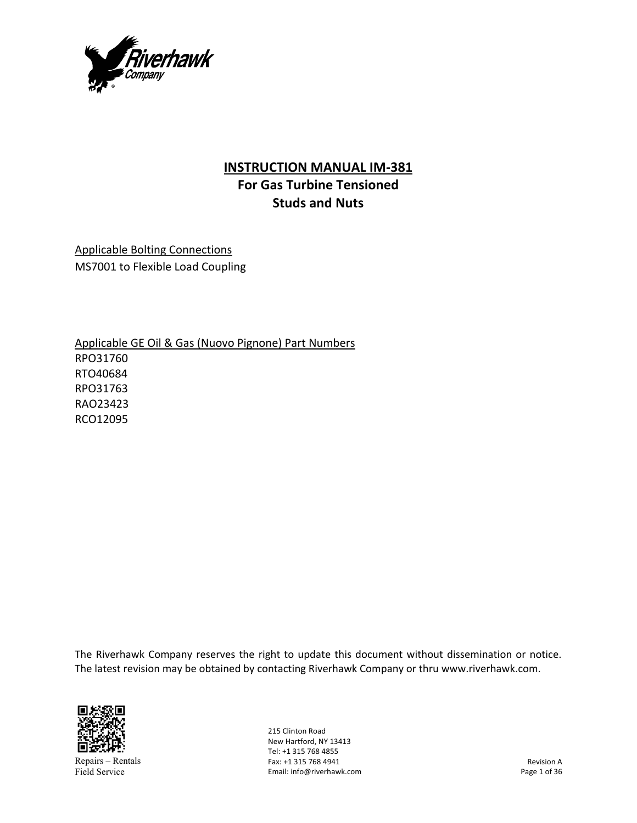

## **INSTRUCTION MANUAL IM‐381 For Gas Turbine Tensioned**

**Studs and Nuts** 

Applicable Bolting Connections MS7001 to Flexible Load Coupling

Applicable GE Oil & Gas (Nuovo Pignone) Part Numbers RPO31760 RTO40684 RPO31763 RAO23423 RCO12095

The Riverhawk Company reserves the right to update this document without dissemination or notice. The latest revision may be obtained by contacting Riverhawk Company or thru www.riverhawk.com.



Repairs – Rentals Field Service

215 Clinton Road New Hartford, NY 13413 Tel: +1 315 768 4855 Fax: +1 315 768 4941 Email: info@riverhawk.com

Revision A Page 1 of 36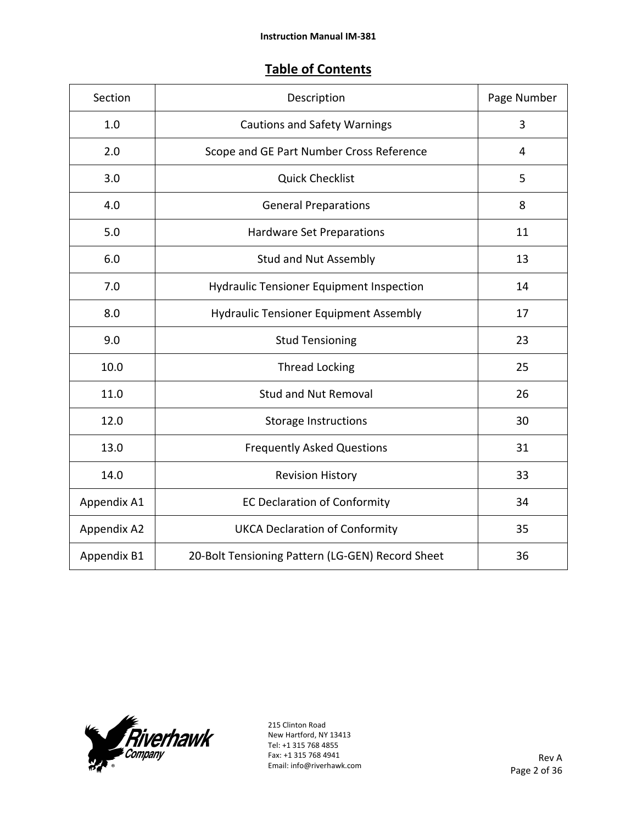## **Table of Contents**

| Section     | Description                                      | Page Number |
|-------------|--------------------------------------------------|-------------|
| 1.0         | <b>Cautions and Safety Warnings</b>              | 3           |
| 2.0         | Scope and GE Part Number Cross Reference         | 4           |
| 3.0         | <b>Quick Checklist</b>                           | 5           |
| 4.0         | <b>General Preparations</b>                      | 8           |
| 5.0         | <b>Hardware Set Preparations</b>                 | 11          |
| 6.0         | Stud and Nut Assembly                            | 13          |
| 7.0         | <b>Hydraulic Tensioner Equipment Inspection</b>  | 14          |
| 8.0         | <b>Hydraulic Tensioner Equipment Assembly</b>    | 17          |
| 9.0         | <b>Stud Tensioning</b>                           | 23          |
| 10.0        | <b>Thread Locking</b>                            | 25          |
| 11.0        | <b>Stud and Nut Removal</b>                      | 26          |
| 12.0        | <b>Storage Instructions</b>                      | 30          |
| 13.0        | <b>Frequently Asked Questions</b>                | 31          |
| 14.0        | <b>Revision History</b>                          | 33          |
| Appendix A1 | <b>EC Declaration of Conformity</b>              | 34          |
| Appendix A2 | <b>UKCA Declaration of Conformity</b>            | 35          |
| Appendix B1 | 20-Bolt Tensioning Pattern (LG-GEN) Record Sheet | 36          |

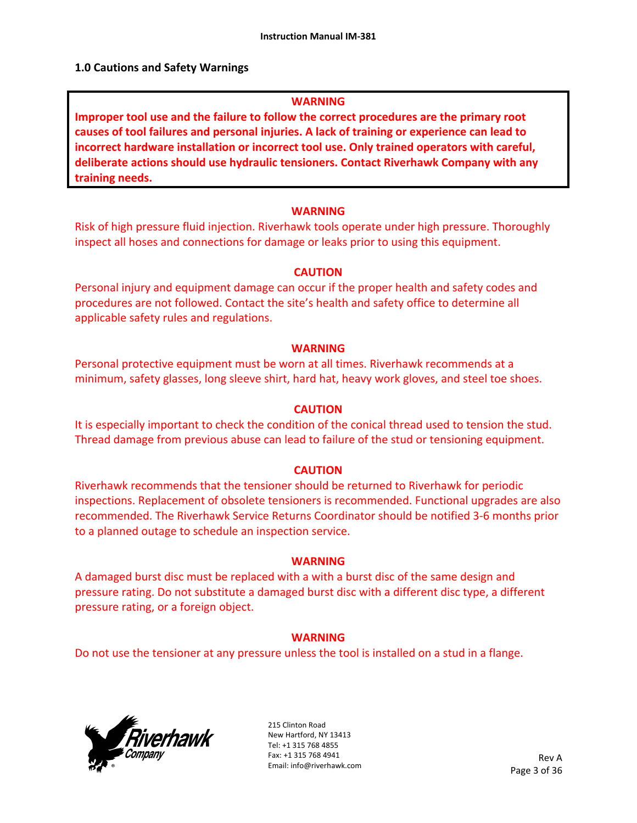#### **1.0 Cautions and Safety Warnings**

#### **WARNING**

**Improper tool use and the failure to follow the correct procedures are the primary root causes of tool failures and personal injuries. A lack of training or experience can lead to incorrect hardware installation or incorrect tool use. Only trained operators with careful, deliberate actions should use hydraulic tensioners. Contact Riverhawk Company with any training needs.** 

#### **WARNING**

Risk of high pressure fluid injection. Riverhawk tools operate under high pressure. Thoroughly inspect all hoses and connections for damage or leaks prior to using this equipment.

#### **CAUTION**

Personal injury and equipment damage can occur if the proper health and safety codes and procedures are not followed. Contact the site's health and safety office to determine all applicable safety rules and regulations.

#### **WARNING**

Personal protective equipment must be worn at all times. Riverhawk recommends at a minimum, safety glasses, long sleeve shirt, hard hat, heavy work gloves, and steel toe shoes.

#### **CAUTION**

It is especially important to check the condition of the conical thread used to tension the stud. Thread damage from previous abuse can lead to failure of the stud or tensioning equipment.

#### **CAUTION**

Riverhawk recommends that the tensioner should be returned to Riverhawk for periodic inspections. Replacement of obsolete tensioners is recommended. Functional upgrades are also recommended. The Riverhawk Service Returns Coordinator should be notified 3‐6 months prior to a planned outage to schedule an inspection service.

#### **WARNING**

A damaged burst disc must be replaced with a with a burst disc of the same design and pressure rating. Do not substitute a damaged burst disc with a different disc type, a different pressure rating, or a foreign object.

## **WARNING**

Do not use the tensioner at any pressure unless the tool is installed on a stud in a flange.

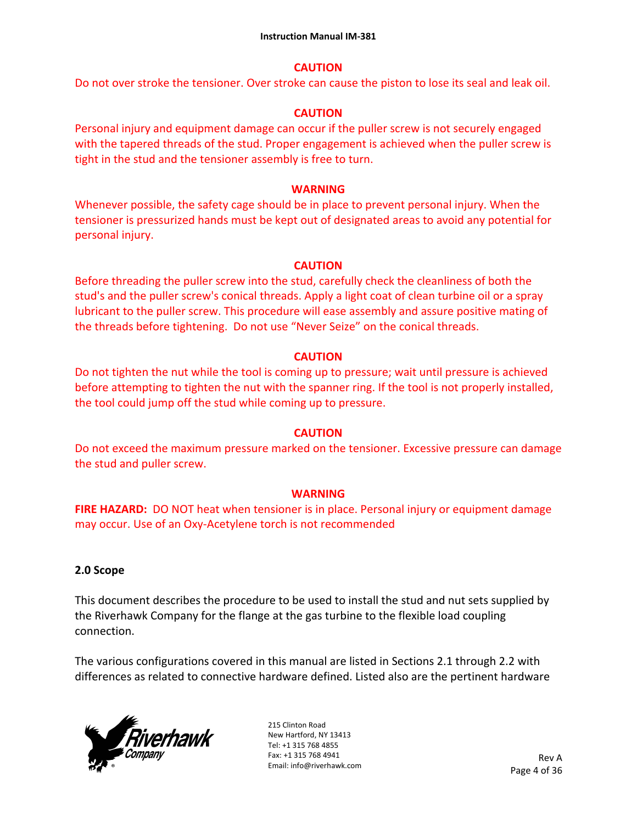## **CAUTION**

Do not over stroke the tensioner. Over stroke can cause the piston to lose its seal and leak oil.

## **CAUTION**

Personal injury and equipment damage can occur if the puller screw is not securely engaged with the tapered threads of the stud. Proper engagement is achieved when the puller screw is tight in the stud and the tensioner assembly is free to turn.

## **WARNING**

Whenever possible, the safety cage should be in place to prevent personal injury. When the tensioner is pressurized hands must be kept out of designated areas to avoid any potential for personal injury.

## **CAUTION**

Before threading the puller screw into the stud, carefully check the cleanliness of both the stud's and the puller screw's conical threads. Apply a light coat of clean turbine oil or a spray lubricant to the puller screw. This procedure will ease assembly and assure positive mating of the threads before tightening. Do not use "Never Seize" on the conical threads.

## **CAUTION**

Do not tighten the nut while the tool is coming up to pressure; wait until pressure is achieved before attempting to tighten the nut with the spanner ring. If the tool is not properly installed, the tool could jump off the stud while coming up to pressure.

## **CAUTION**

Do not exceed the maximum pressure marked on the tensioner. Excessive pressure can damage the stud and puller screw.

## **WARNING**

**FIRE HAZARD:** DO NOT heat when tensioner is in place. Personal injury or equipment damage may occur. Use of an Oxy‐Acetylene torch is not recommended

## **2.0 Scope**

This document describes the procedure to be used to install the stud and nut sets supplied by the Riverhawk Company for the flange at the gas turbine to the flexible load coupling connection.

The various configurations covered in this manual are listed in Sections 2.1 through 2.2 with differences as related to connective hardware defined. Listed also are the pertinent hardware

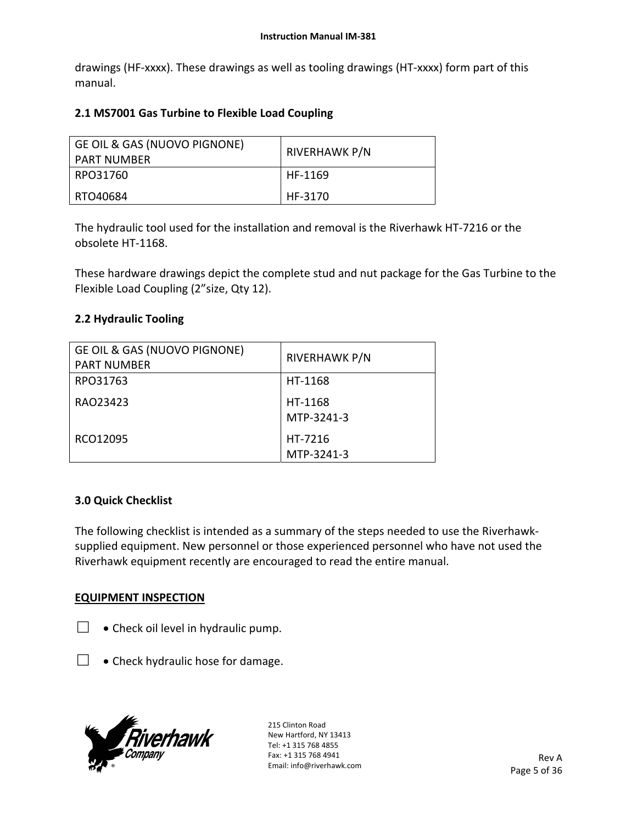drawings (HF‐xxxx). These drawings as well as tooling drawings (HT‐xxxx) form part of this manual.

## **2.1 MS7001 Gas Turbine to Flexible Load Coupling**

| GE OIL & GAS (NUOVO PIGNONE)<br>PART NUMBER | RIVERHAWK P/N |
|---------------------------------------------|---------------|
| RPO31760                                    | HF-1169       |
| RTO40684                                    | HF-3170       |

The hydraulic tool used for the installation and removal is the Riverhawk HT‐7216 or the obsolete HT‐1168.

These hardware drawings depict the complete stud and nut package for the Gas Turbine to the Flexible Load Coupling (2"size, Qty 12).

## **2.2 Hydraulic Tooling**

| GE OIL & GAS (NUOVO PIGNONE)<br><b>PART NUMBER</b> | <b>RIVERHAWK P/N</b>  |
|----------------------------------------------------|-----------------------|
| RPO31763                                           | HT-1168               |
| RAO23423                                           | HT-1168<br>MTP-3241-3 |
| RCO12095                                           | HT-7216<br>MTP-3241-3 |

## **3.0 Quick Checklist**

The following checklist is intended as a summary of the steps needed to use the Riverhawk‐ supplied equipment. New personnel or those experienced personnel who have not used the Riverhawk equipment recently are encouraged to read the entire manual.

## **EQUIPMENT INSPECTION**

- $\Box \bullet$  Check oil level in hydraulic pump.
- $\Box$  . Check hydraulic hose for damage.

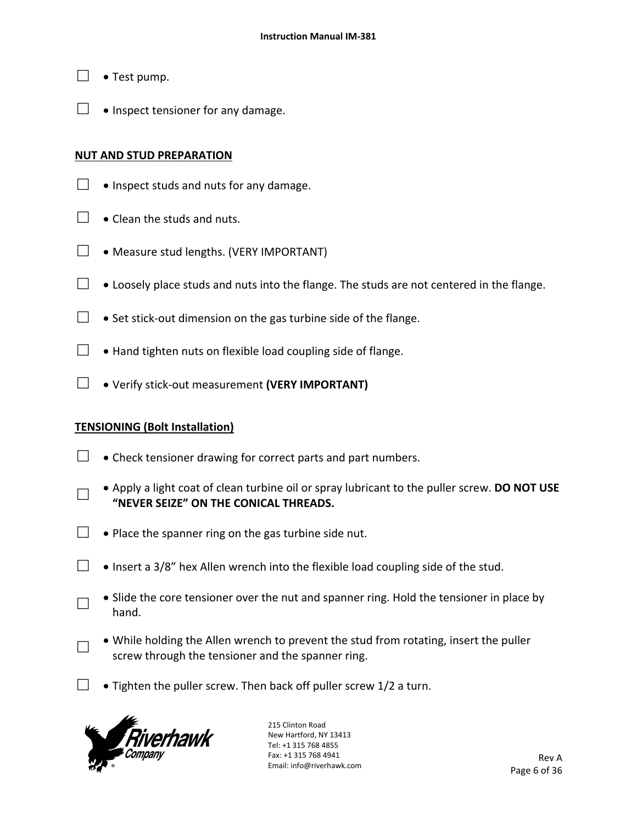- $\Box \bullet$  Test pump.
- $\Box$  . Inspect tensioner for any damage.

## **NUT AND STUD PREPARATION**

- $\Box$  . Inspect studs and nuts for any damage.
- $\Box$   $\bullet$  Clean the studs and nuts.
- $\Box \bullet$  Measure stud lengths. (VERY IMPORTANT)
- $\Box$   $\bullet$  Loosely place studs and nuts into the flange. The studs are not centered in the flange.
- □ Set stick-out dimension on the gas turbine side of the flange.
- $\Box$  . Hand tighten nuts on flexible load coupling side of flange.
- □ Verify stick‐out measurement **(VERY IMPORTANT)**

## **TENSIONING (Bolt Installation)**

- $\Box$   $\bullet$  Check tensioner drawing for correct parts and part numbers.
- □ Apply a light coat of clean turbine oil or spray lubricant to the puller screw. **DO NOT USE "NEVER SEIZE" ON THE CONICAL THREADS.**
- $\Box$   $\bullet$  Place the spanner ring on the gas turbine side nut.
- $□$   $\bullet$  Insert a 3/8" hex Allen wrench into the flexible load coupling side of the stud.
	- Slide the core tensioner over the nut and spanner ring. Hold the tensioner in place by hand.
	- While holding the Allen wrench to prevent the stud from rotating, insert the puller screw through the tensioner and the spanner ring.
- □ Tighten the puller screw. Then back off puller screw  $1/2$  a turn.



□

□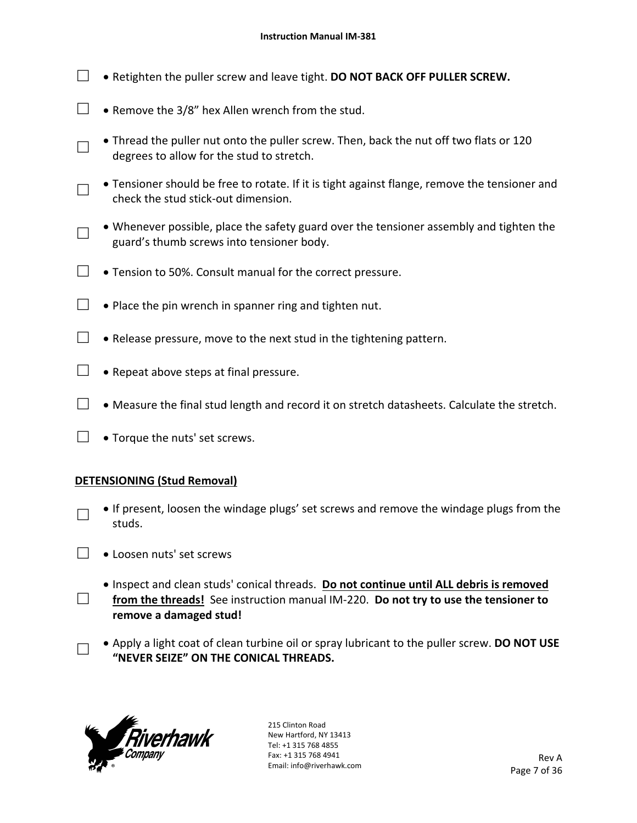- □ Retighten the puller screw and leave tight. **DO NOT BACK OFF PULLER SCREW.**
- □ Remove the  $3/8$ " hex Allen wrench from the stud.
- □ • Thread the puller nut onto the puller screw. Then, back the nut off two flats or 120 degrees to allow for the stud to stretch.
- □ Tensioner should be free to rotate. If it is tight against flange, remove the tensioner and check the stud stick‐out dimension.
- □ Whenever possible, place the safety guard over the tensioner assembly and tighten the guard's thumb screws into tensioner body.
- $\Box$  Tension to 50%. Consult manual for the correct pressure.
- $\Box$   $\bullet$  Place the pin wrench in spanner ring and tighten nut.
- $\Box$  Release pressure, move to the next stud in the tightening pattern.
- $\Box$  . Repeat above steps at final pressure.
- $\Box$  Measure the final stud length and record it on stretch datasheets. Calculate the stretch.
- $\Box \bullet$  Torque the nuts' set screws.

## **DETENSIONING (Stud Removal)**

- □ • If present, loosen the windage plugs' set screws and remove the windage plugs from the studs.
- $\Box \bullet$  Loosen nuts' set screws
- □ Inspect and clean studs' conical threads. **Do not continue until ALL debris is removed**  from the threads! See instruction manual IM-220. Do not try to use the tensioner to **remove a damaged stud!** 
	- Apply a light coat of clean turbine oil or spray lubricant to the puller screw. **DO NOT USE "NEVER SEIZE" ON THE CONICAL THREADS.**



□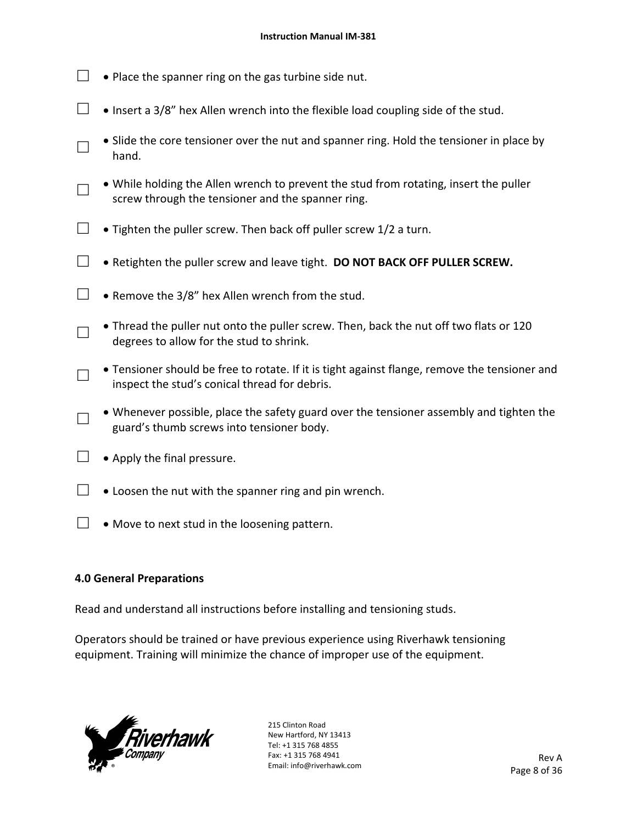- $\Box$   $\bullet$  Place the spanner ring on the gas turbine side nut.
- $□$   $\bullet$  Insert a 3/8" hex Allen wrench into the flexible load coupling side of the stud.
- □ • Slide the core tensioner over the nut and spanner ring. Hold the tensioner in place by hand.
- □ While holding the Allen wrench to prevent the stud from rotating, insert the puller screw through the tensioner and the spanner ring.
- $\Box$   $\bullet$  Tighten the puller screw. Then back off puller screw 1/2 a turn.
- □ Retighten the puller screw and leave tight. **DO NOT BACK OFF PULLER SCREW.**
- $\Box$  Remove the 3/8" hex Allen wrench from the stud.
- □ • Thread the puller nut onto the puller screw. Then, back the nut off two flats or 120 degrees to allow for the stud to shrink.
- □ Tensioner should be free to rotate. If it is tight against flange, remove the tensioner and inspect the stud's conical thread for debris.
- □ Whenever possible, place the safety guard over the tensioner assembly and tighten the guard's thumb screws into tensioner body.
- $\Box \bullet$  Apply the final pressure.
- $\Box$   $\bullet$  Loosen the nut with the spanner ring and pin wrench.
- $\Box \bullet$  Move to next stud in the loosening pattern.

## **4.0 General Preparations**

Read and understand all instructions before installing and tensioning studs.

Operators should be trained or have previous experience using Riverhawk tensioning equipment. Training will minimize the chance of improper use of the equipment.

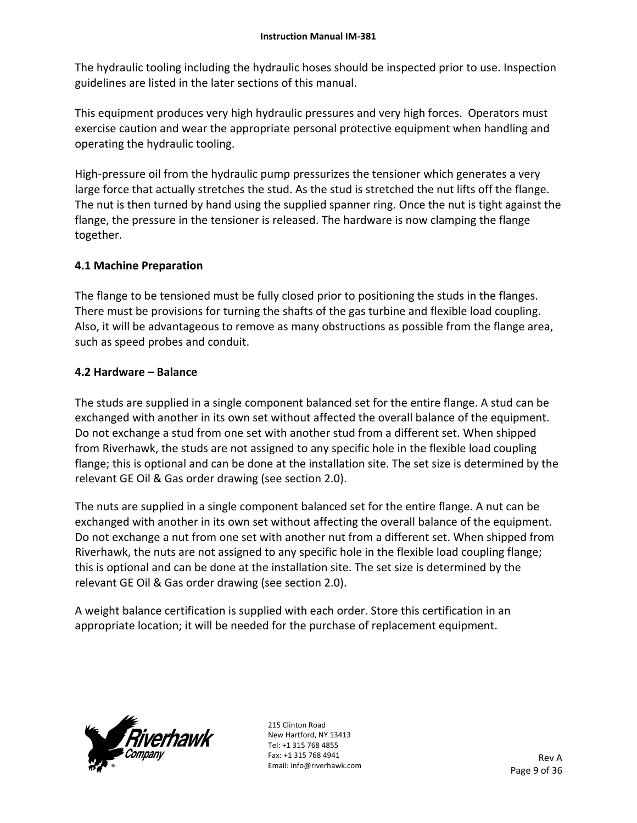The hydraulic tooling including the hydraulic hoses should be inspected prior to use. Inspection guidelines are listed in the later sections of this manual.

This equipment produces very high hydraulic pressures and very high forces. Operators must exercise caution and wear the appropriate personal protective equipment when handling and operating the hydraulic tooling.

High-pressure oil from the hydraulic pump pressurizes the tensioner which generates a very large force that actually stretches the stud. As the stud is stretched the nut lifts off the flange. The nut is then turned by hand using the supplied spanner ring. Once the nut is tight against the flange, the pressure in the tensioner is released. The hardware is now clamping the flange together.

## **4.1 Machine Preparation**

The flange to be tensioned must be fully closed prior to positioning the studs in the flanges. There must be provisions for turning the shafts of the gas turbine and flexible load coupling. Also, it will be advantageous to remove as many obstructions as possible from the flange area, such as speed probes and conduit.

## **4.2 Hardware – Balance**

The studs are supplied in a single component balanced set for the entire flange. A stud can be exchanged with another in its own set without affected the overall balance of the equipment. Do not exchange a stud from one set with another stud from a different set. When shipped from Riverhawk, the studs are not assigned to any specific hole in the flexible load coupling flange; this is optional and can be done at the installation site. The set size is determined by the relevant GE Oil & Gas order drawing (see section 2.0).

The nuts are supplied in a single component balanced set for the entire flange. A nut can be exchanged with another in its own set without affecting the overall balance of the equipment. Do not exchange a nut from one set with another nut from a different set. When shipped from Riverhawk, the nuts are not assigned to any specific hole in the flexible load coupling flange; this is optional and can be done at the installation site. The set size is determined by the relevant GE Oil & Gas order drawing (see section 2.0).

A weight balance certification is supplied with each order. Store this certification in an appropriate location; it will be needed for the purchase of replacement equipment.

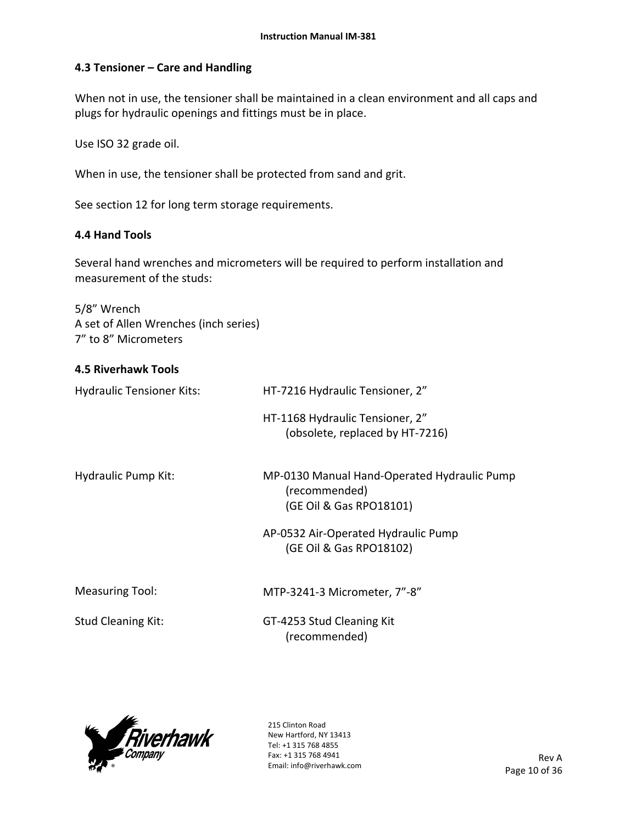## **4.3 Tensioner – Care and Handling**

When not in use, the tensioner shall be maintained in a clean environment and all caps and plugs for hydraulic openings and fittings must be in place.

Use ISO 32 grade oil.

When in use, the tensioner shall be protected from sand and grit.

See section 12 for long term storage requirements.

## **4.4 Hand Tools**

Several hand wrenches and micrometers will be required to perform installation and measurement of the studs:

5/8" Wrench A set of Allen Wrenches (inch series) 7" to 8" Micrometers

# **4.5 Riverhawk Tools**  Hydraulic Tensioner Kits: HT-7216 Hydraulic Tensioner, 2" HT‐1168 Hydraulic Tensioner, 2" (obsolete, replaced by HT‐7216) Hydraulic Pump Kit: MP-0130 Manual Hand-Operated Hydraulic Pump (recommended) (GE Oil & Gas RPO18101) AP‐0532 Air‐Operated Hydraulic Pump (GE Oil & Gas RPO18102) Measuring Tool: MTP-3241-3 Micrometer, 7"-8" Stud Cleaning Kit: GT-4253 Stud Cleaning Kit (recommended)

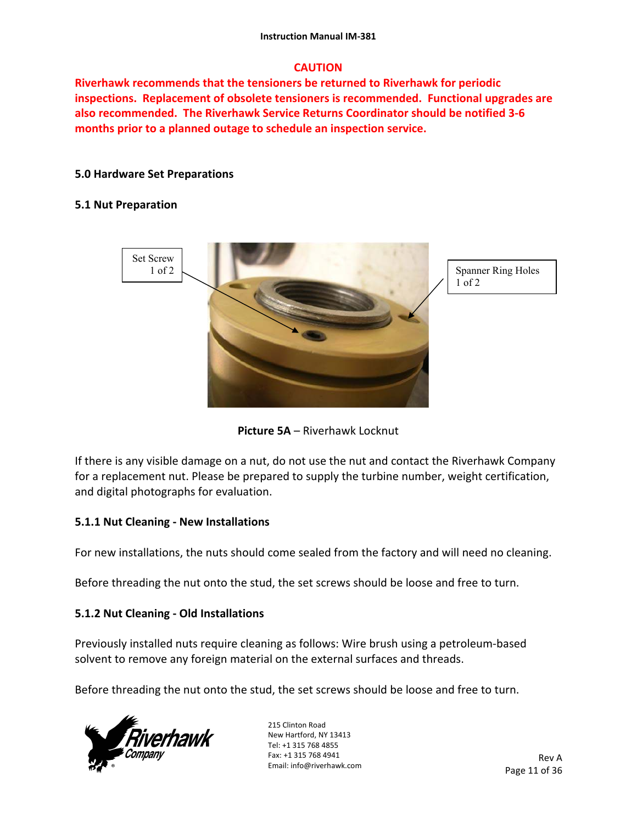## **CAUTION**

**Riverhawk recommends that the tensioners be returned to Riverhawk for periodic inspections. Replacement of obsolete tensioners is recommended. Functional upgrades are also recommended. The Riverhawk Service Returns Coordinator should be notified 3‐6 months prior to a planned outage to schedule an inspection service.** 

## **5.0 Hardware Set Preparations**

## **5.1 Nut Preparation**





If there is any visible damage on a nut, do not use the nut and contact the Riverhawk Company for a replacement nut. Please be prepared to supply the turbine number, weight certification, and digital photographs for evaluation.

## **5.1.1 Nut Cleaning ‐ New Installations**

For new installations, the nuts should come sealed from the factory and will need no cleaning.

Before threading the nut onto the stud, the set screws should be loose and free to turn.

## **5.1.2 Nut Cleaning ‐ Old Installations**

Previously installed nuts require cleaning as follows: Wire brush using a petroleum‐based solvent to remove any foreign material on the external surfaces and threads.

Before threading the nut onto the stud, the set screws should be loose and free to turn.

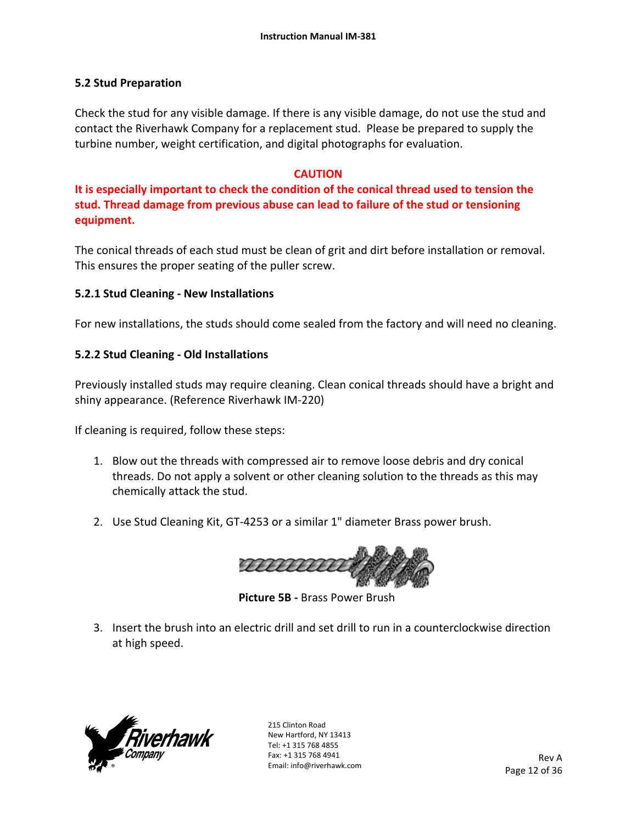## **5.2 Stud Preparation**

Check the stud for any visible damage. If there is any visible damage, do not use the stud and contact the Riverhawk Company for a replacement stud. Please be prepared to supply the turbine number, weight certification, and digital photographs for evaluation.

## **CAUTION**

**It is especially important to check the condition of the conical thread used to tension the stud. Thread damage from previous abuse can lead to failure of the stud or tensioning equipment.**

The conical threads of each stud must be clean of grit and dirt before installation or removal. This ensures the proper seating of the puller screw.

## **5.2.1 Stud Cleaning ‐ New Installations**

For new installations, the studs should come sealed from the factory and will need no cleaning.

## **5.2.2 Stud Cleaning ‐ Old Installations**

Previously installed studs may require cleaning. Clean conical threads should have a bright and shiny appearance. (Reference Riverhawk IM‐220)

If cleaning is required, follow these steps:

- 1. Blow out the threads with compressed air to remove loose debris and dry conical threads. Do not apply a solvent or other cleaning solution to the threads as this may chemically attack the stud.
- 2. Use Stud Cleaning Kit, GT‐4253 or a similar 1" diameter Brass power brush.



 **Picture 5B ‐** Brass Power Brush

3. Insert the brush into an electric drill and set drill to run in a counterclockwise direction at high speed.

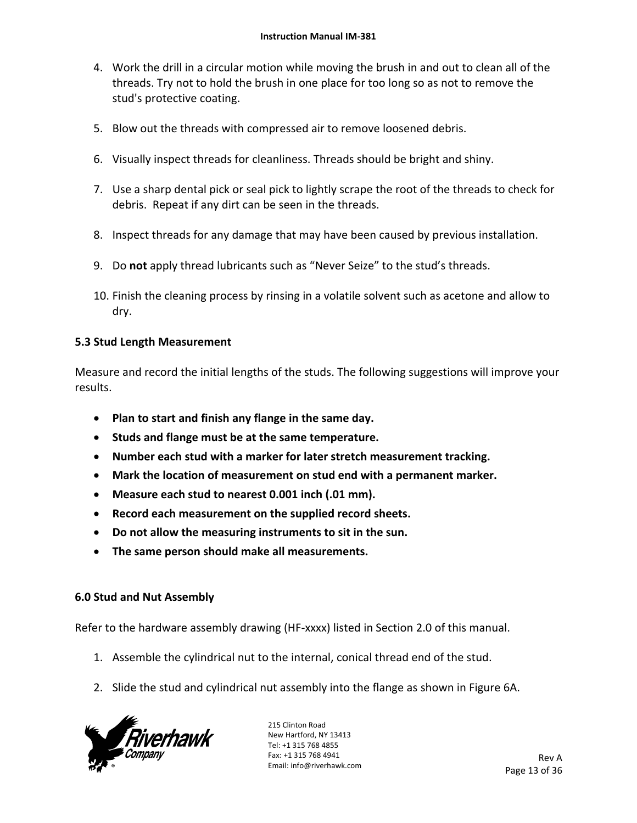- 4. Work the drill in a circular motion while moving the brush in and out to clean all of the threads. Try not to hold the brush in one place for too long so as not to remove the stud's protective coating.
- 5. Blow out the threads with compressed air to remove loosened debris.
- 6. Visually inspect threads for cleanliness. Threads should be bright and shiny.
- 7. Use a sharp dental pick or seal pick to lightly scrape the root of the threads to check for debris. Repeat if any dirt can be seen in the threads.
- 8. Inspect threads for any damage that may have been caused by previous installation.
- 9. Do **not** apply thread lubricants such as "Never Seize" to the stud's threads.
- 10. Finish the cleaning process by rinsing in a volatile solvent such as acetone and allow to dry.

## **5.3 Stud Length Measurement**

Measure and record the initial lengths of the studs. The following suggestions will improve your results.

- **Plan to start and finish any flange in the same day.**
- **Studs and flange must be at the same temperature.**
- **Number each stud with a marker for later stretch measurement tracking.**
- **Mark the location of measurement on stud end with a permanent marker.**
- **Measure each stud to nearest 0.001 inch (.01 mm).**
- **Record each measurement on the supplied record sheets.**
- **Do not allow the measuring instruments to sit in the sun.**
- **The same person should make all measurements.**

## **6.0 Stud and Nut Assembly**

Refer to the hardware assembly drawing (HF-xxxx) listed in Section 2.0 of this manual.

- 1. Assemble the cylindrical nut to the internal, conical thread end of the stud.
- 2. Slide the stud and cylindrical nut assembly into the flange as shown in Figure 6A.

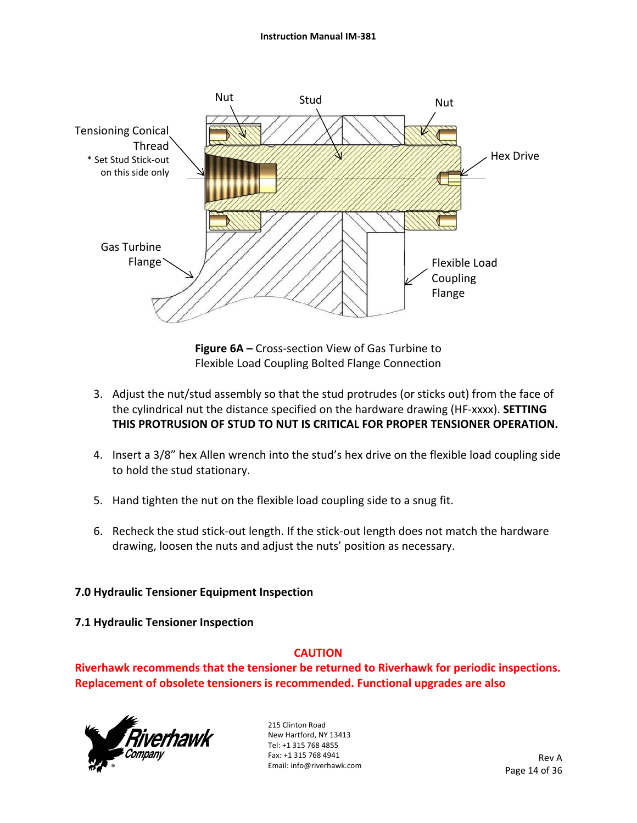

**Figure 6A –** Cross‐section View of Gas Turbine to Flexible Load Coupling Bolted Flange Connection

- 3. Adjust the nut/stud assembly so that the stud protrudes (or sticks out) from the face of the cylindrical nut the distance specified on the hardware drawing (HF‐xxxx). **SETTING THIS PROTRUSION OF STUD TO NUT IS CRITICAL FOR PROPER TENSIONER OPERATION.**
- 4. Insert a 3/8" hex Allen wrench into the stud's hex drive on the flexible load coupling side to hold the stud stationary.
- 5. Hand tighten the nut on the flexible load coupling side to a snug fit.
- 6. Recheck the stud stick‐out length. If the stick‐out length does not match the hardware drawing, loosen the nuts and adjust the nuts' position as necessary.

## **7.0 Hydraulic Tensioner Equipment Inspection**

## **7.1 Hydraulic Tensioner Inspection**

## **CAUTION**

**Riverhawk recommends that the tensioner be returned to Riverhawk for periodic inspections. Replacement of obsolete tensioners is recommended. Functional upgrades are also** 

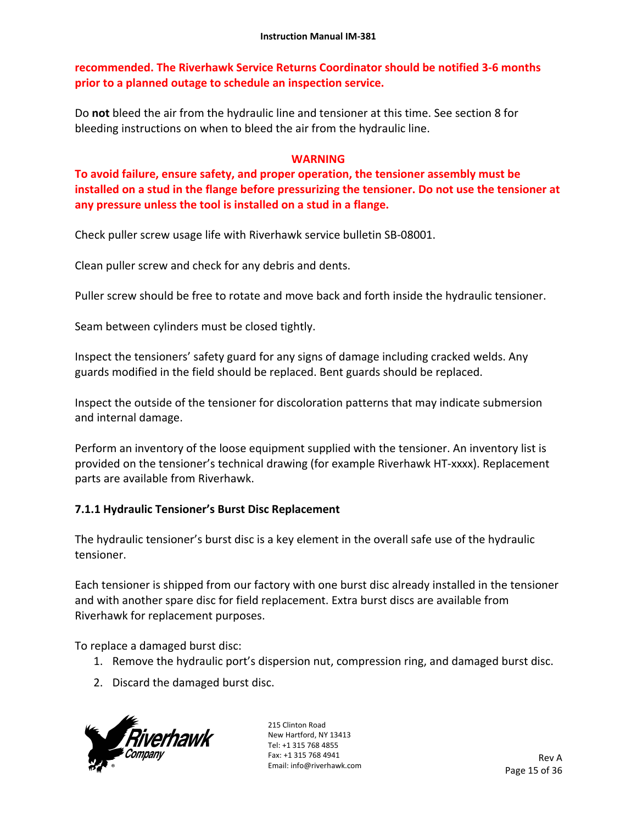**recommended. The Riverhawk Service Returns Coordinator should be notified 3‐6 months prior to a planned outage to schedule an inspection service.** 

Do **not** bleed the air from the hydraulic line and tensioner at this time. See section 8 for bleeding instructions on when to bleed the air from the hydraulic line.

## **WARNING**

**To avoid failure, ensure safety, and proper operation, the tensioner assembly must be installed on a stud in the flange before pressurizing the tensioner. Do not use the tensioner at any pressure unless the tool is installed on a stud in a flange.** 

Check puller screw usage life with Riverhawk service bulletin SB‐08001.

Clean puller screw and check for any debris and dents.

Puller screw should be free to rotate and move back and forth inside the hydraulic tensioner.

Seam between cylinders must be closed tightly.

Inspect the tensioners' safety guard for any signs of damage including cracked welds. Any guards modified in the field should be replaced. Bent guards should be replaced.

Inspect the outside of the tensioner for discoloration patterns that may indicate submersion and internal damage.

Perform an inventory of the loose equipment supplied with the tensioner. An inventory list is provided on the tensioner's technical drawing (for example Riverhawk HT‐xxxx). Replacement parts are available from Riverhawk.

## **7.1.1 Hydraulic Tensioner's Burst Disc Replacement**

The hydraulic tensioner's burst disc is a key element in the overall safe use of the hydraulic tensioner.

Each tensioner is shipped from our factory with one burst disc already installed in the tensioner and with another spare disc for field replacement. Extra burst discs are available from Riverhawk for replacement purposes.

To replace a damaged burst disc:

- 1. Remove the hydraulic port's dispersion nut, compression ring, and damaged burst disc.
- 2. Discard the damaged burst disc.

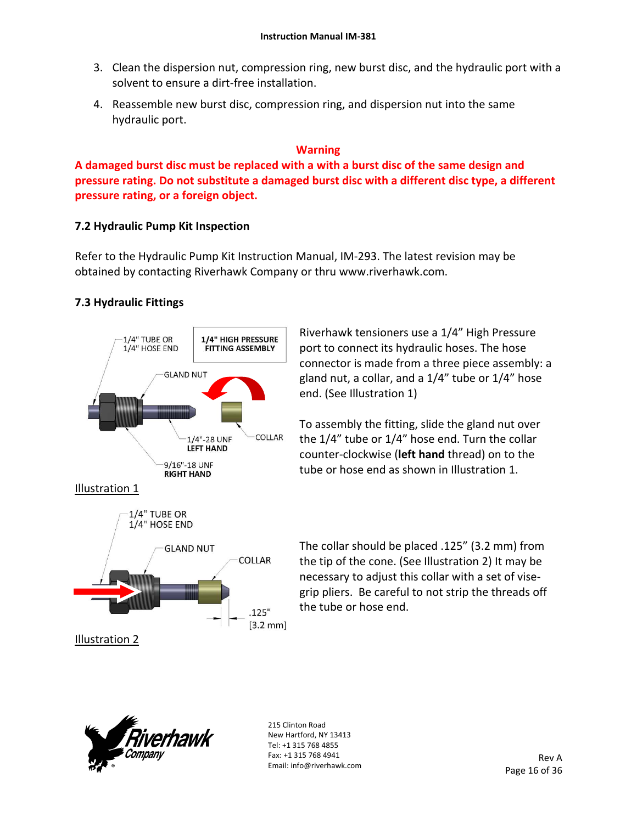- 3. Clean the dispersion nut, compression ring, new burst disc, and the hydraulic port with a solvent to ensure a dirt‐free installation.
- 4. Reassemble new burst disc, compression ring, and dispersion nut into the same hydraulic port.

## **Warning**

**A damaged burst disc must be replaced with a with a burst disc of the same design and pressure rating. Do not substitute a damaged burst disc with a different disc type, a different pressure rating, or a foreign object.**

## **7.2 Hydraulic Pump Kit Inspection**

Refer to the Hydraulic Pump Kit Instruction Manual, IM‐293. The latest revision may be obtained by contacting Riverhawk Company or thru www.riverhawk.com.

## **7.3 Hydraulic Fittings**



Riverhawk tensioners use a 1/4" High Pressure port to connect its hydraulic hoses. The hose connector is made from a three piece assembly: a gland nut, a collar, and a 1/4" tube or 1/4" hose end. (See Illustration 1)

To assembly the fitting, slide the gland nut over the 1/4" tube or 1/4" hose end. Turn the collar counter‐clockwise (**left hand** thread) on to the tube or hose end as shown in Illustration 1.

The collar should be placed .125" (3.2 mm) from the tip of the cone. (See Illustration 2) It may be necessary to adjust this collar with a set of vise‐ grip pliers. Be careful to not strip the threads off the tube or hose end.

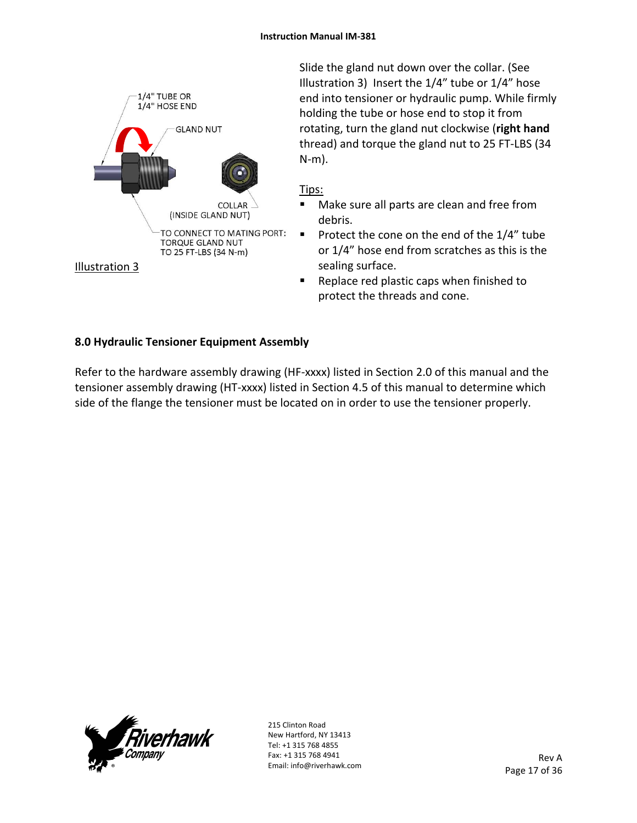

Slide the gland nut down over the collar. (See Illustration 3) Insert the 1/4" tube or 1/4" hose end into tensioner or hydraulic pump. While firmly holding the tube or hose end to stop it from rotating, turn the gland nut clockwise (**right hand** thread) and torque the gland nut to 25 FT‐LBS (34 N‐m).

## Tips:

- **Make sure all parts are clean and free from** debris.
- Protect the cone on the end of the  $1/4$ " tube or 1/4" hose end from scratches as this is the sealing surface.
- Replace red plastic caps when finished to protect the threads and cone.

## **8.0 Hydraulic Tensioner Equipment Assembly**

Refer to the hardware assembly drawing (HF-xxxx) listed in Section 2.0 of this manual and the tensioner assembly drawing (HT‐xxxx) listed in Section 4.5 of this manual to determine which side of the flange the tensioner must be located on in order to use the tensioner properly.

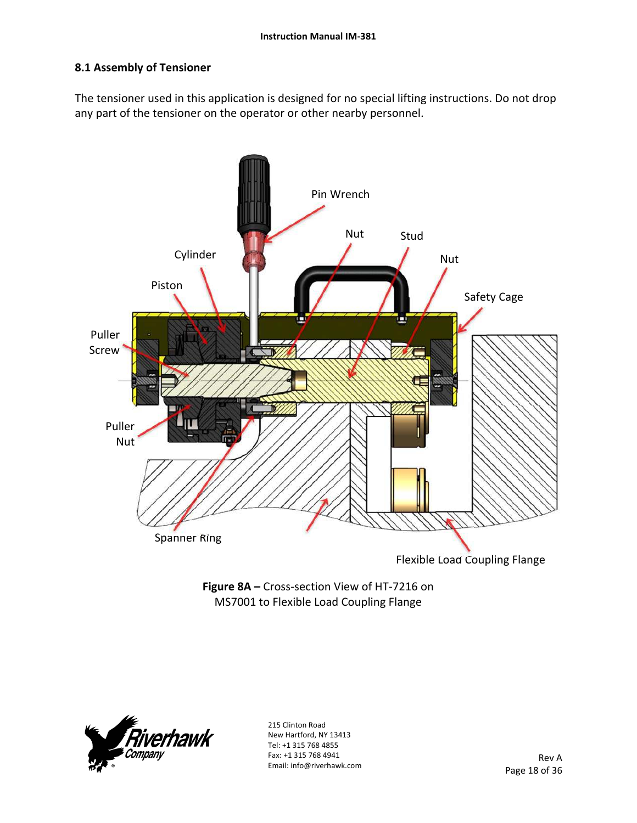## **8.1 Assembly of Tensioner**

The tensioner used in this application is designed for no special lifting instructions. Do not drop any part of the tensioner on the operator or other nearby personnel.



**Figure 8A –** Cross‐section View of HT‐7216 on MS7001 to Flexible Load Coupling Flange

![](_page_17_Picture_5.jpeg)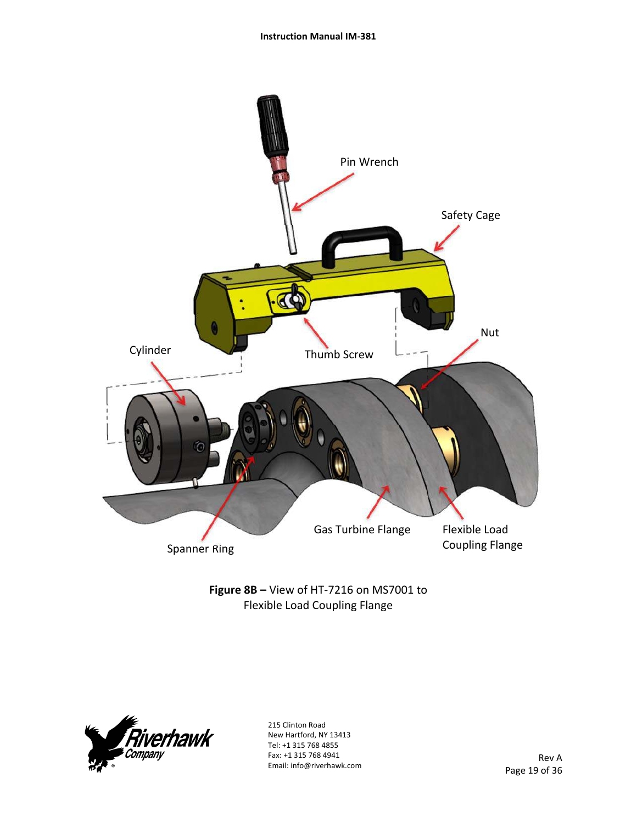![](_page_18_Figure_1.jpeg)

**Figure 8B –** View of HT‐7216 on MS7001 to Flexible Load Coupling Flange

![](_page_18_Picture_3.jpeg)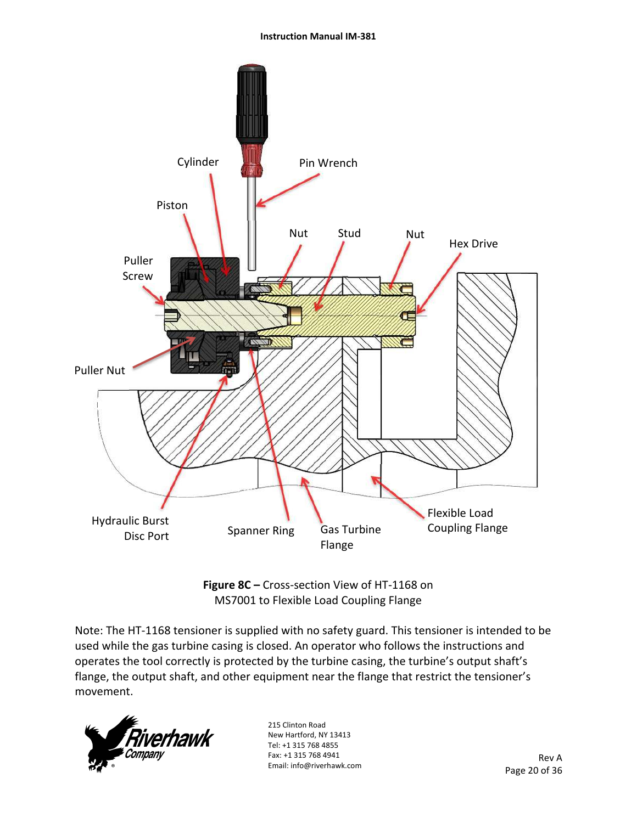![](_page_19_Figure_1.jpeg)

**Figure 8C –** Cross‐section View of HT‐1168 on MS7001 to Flexible Load Coupling Flange

Note: The HT‐1168 tensioner is supplied with no safety guard. This tensioner is intended to be used while the gas turbine casing is closed. An operator who follows the instructions and operates the tool correctly is protected by the turbine casing, the turbine's output shaft's flange, the output shaft, and other equipment near the flange that restrict the tensioner's movement.

![](_page_19_Picture_4.jpeg)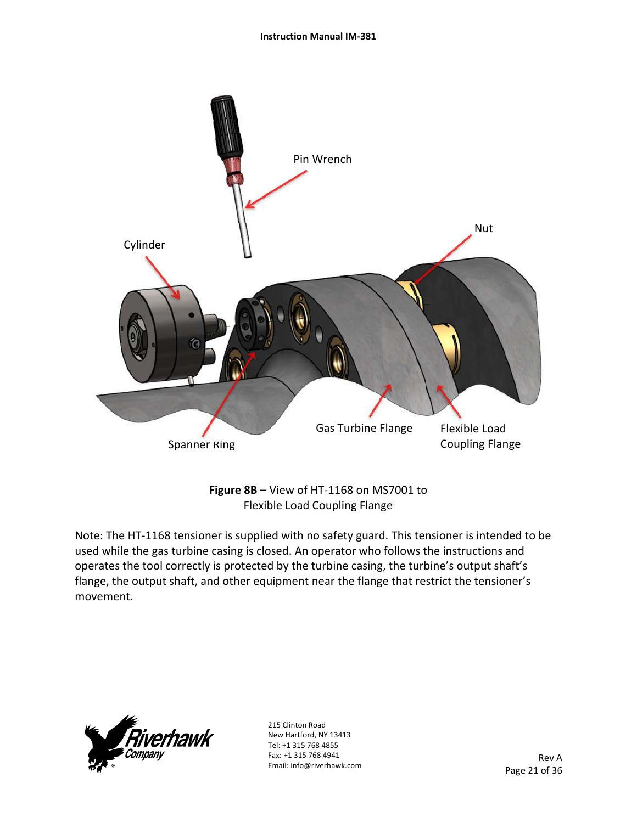![](_page_20_Figure_1.jpeg)

**Figure 8B –** View of HT‐1168 on MS7001 to Flexible Load Coupling Flange

Note: The HT‐1168 tensioner is supplied with no safety guard. This tensioner is intended to be used while the gas turbine casing is closed. An operator who follows the instructions and operates the tool correctly is protected by the turbine casing, the turbine's output shaft's flange, the output shaft, and other equipment near the flange that restrict the tensioner's movement.

![](_page_20_Picture_4.jpeg)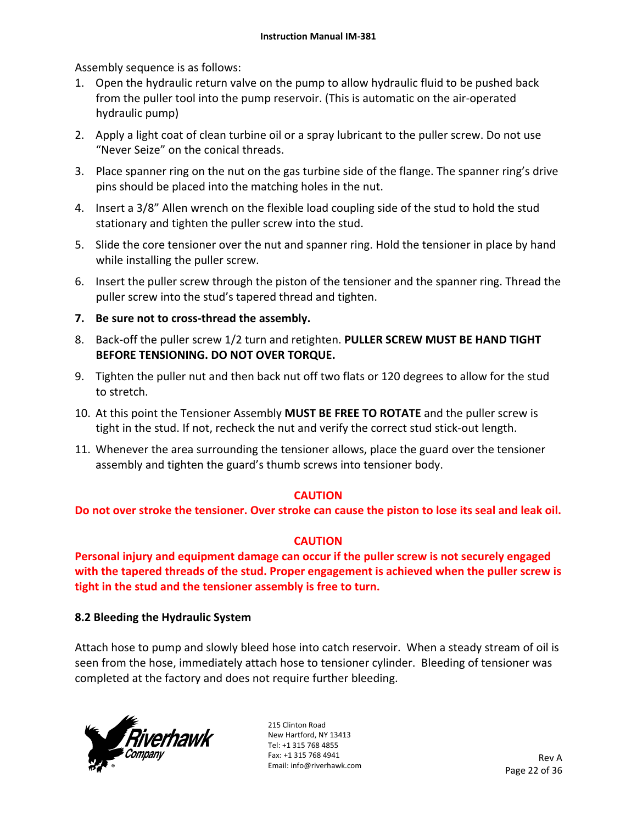Assembly sequence is as follows:

- 1. Open the hydraulic return valve on the pump to allow hydraulic fluid to be pushed back from the puller tool into the pump reservoir. (This is automatic on the air‐operated hydraulic pump)
- 2. Apply a light coat of clean turbine oil or a spray lubricant to the puller screw. Do not use "Never Seize" on the conical threads.
- 3. Place spanner ring on the nut on the gas turbine side of the flange. The spanner ring's drive pins should be placed into the matching holes in the nut.
- 4. Insert a 3/8" Allen wrench on the flexible load coupling side of the stud to hold the stud stationary and tighten the puller screw into the stud.
- 5. Slide the core tensioner over the nut and spanner ring. Hold the tensioner in place by hand while installing the puller screw.
- 6. Insert the puller screw through the piston of the tensioner and the spanner ring. Thread the puller screw into the stud's tapered thread and tighten.
- **7. Be sure not to cross‐thread the assembly.**
- 8. Back‐off the puller screw 1/2 turn and retighten. **PULLER SCREW MUST BE HAND TIGHT BEFORE TENSIONING. DO NOT OVER TORQUE.**
- 9. Tighten the puller nut and then back nut off two flats or 120 degrees to allow for the stud to stretch.
- 10. At this point the Tensioner Assembly **MUST BE FREE TO ROTATE** and the puller screw is tight in the stud. If not, recheck the nut and verify the correct stud stick‐out length.
- 11. Whenever the area surrounding the tensioner allows, place the guard over the tensioner assembly and tighten the guard's thumb screws into tensioner body.

## **CAUTION**

**Do not over stroke the tensioner. Over stroke can cause the piston to lose its seal and leak oil.** 

## **CAUTION**

**Personal injury and equipment damage can occur if the puller screw is not securely engaged with the tapered threads of the stud. Proper engagement is achieved when the puller screw is tight in the stud and the tensioner assembly is free to turn.** 

## **8.2 Bleeding the Hydraulic System**

Attach hose to pump and slowly bleed hose into catch reservoir. When a steady stream of oil is seen from the hose, immediately attach hose to tensioner cylinder. Bleeding of tensioner was completed at the factory and does not require further bleeding.

![](_page_21_Picture_19.jpeg)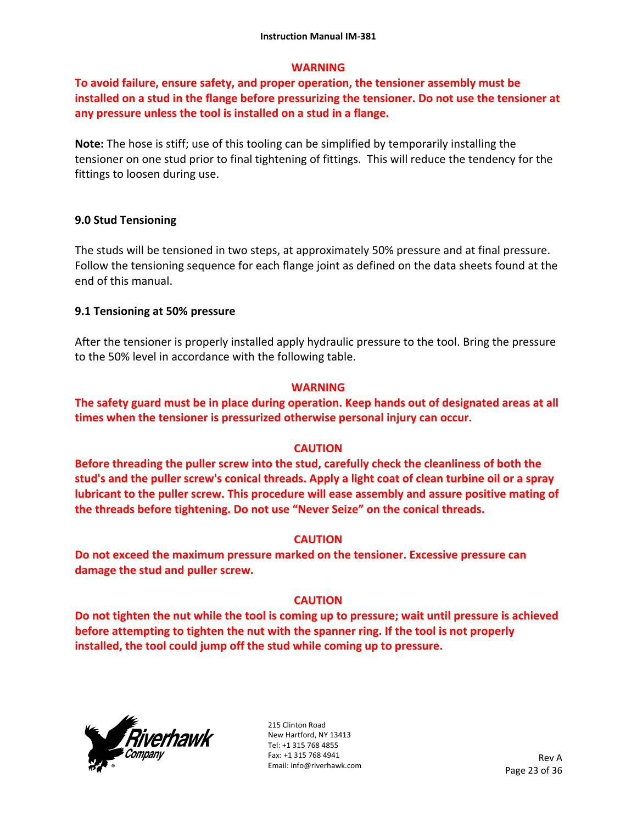## **WARNING**

**To avoid failure, ensure safety, and proper operation, the tensioner assembly must be installed on a stud in the flange before pressurizing the tensioner. Do not use the tensioner at any pressure unless the tool is installed on a stud in a flange.** 

**Note:** The hose is stiff; use of this tooling can be simplified by temporarily installing the tensioner on one stud prior to final tightening of fittings. This will reduce the tendency for the fittings to loosen during use.

## **9.0 Stud Tensioning**

The studs will be tensioned in two steps, at approximately 50% pressure and at final pressure. Follow the tensioning sequence for each flange joint as defined on the data sheets found at the end of this manual.

## **9.1 Tensioning at 50% pressure**

After the tensioner is properly installed apply hydraulic pressure to the tool. Bring the pressure to the 50% level in accordance with the following table.

## **WARNING**

**The safety guard must be in place during operation. Keep hands out of designated areas at all times when the tensioner is pressurized otherwise personal injury can occur.** 

## **CAUTION**

**Before threading the puller screw into the stud, carefully check the cleanliness of both the stud's and the puller screw's conical threads. Apply a light coat of clean turbine oil or a spray lubricant to the puller screw. This procedure will ease assembly and assure positive mating of the threads before tightening. Do not use "Never Seize" on the conical threads.** 

## **CAUTION**

**Do not exceed the maximum pressure marked on the tensioner. Excessive pressure can damage the stud and puller screw.** 

## **CAUTION**

**Do not tighten the nut while the tool is coming up to pressure; wait until pressure is achieved before attempting to tighten the nut with the spanner ring. If the tool is not properly installed, the tool could jump off the stud while coming up to pressure.** 

![](_page_22_Picture_16.jpeg)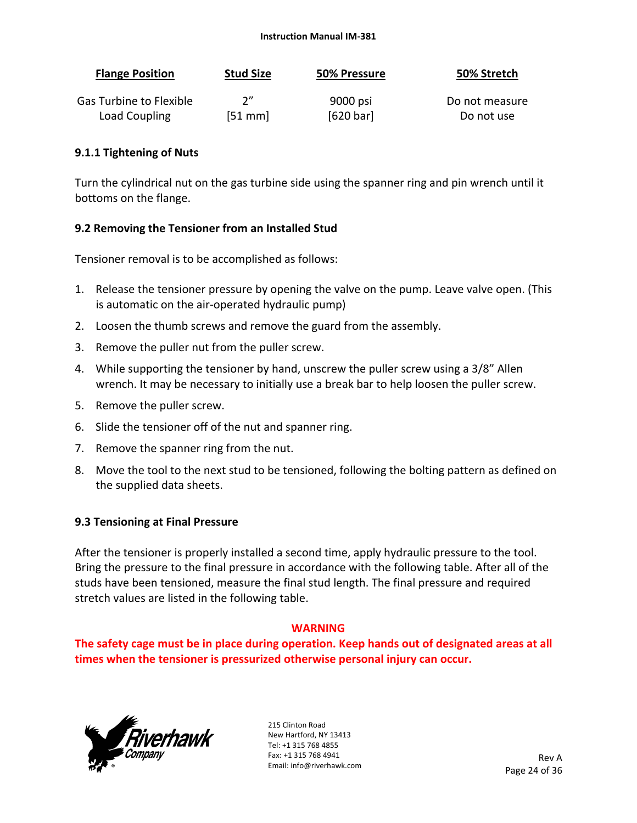#### **Instruction Manual IM‐381**

| <b>Flange Position</b>  | <b>Stud Size</b> | 50% Pressure | 50% Stretch    |
|-------------------------|------------------|--------------|----------------|
| Gas Turbine to Flexible | 2"               | 9000 psi     | Do not measure |
| Load Coupling           | $[51$ mm         | [620 bar]    | Do not use     |

#### **9.1.1 Tightening of Nuts**

Turn the cylindrical nut on the gas turbine side using the spanner ring and pin wrench until it bottoms on the flange.

#### **9.2 Removing the Tensioner from an Installed Stud**

Tensioner removal is to be accomplished as follows:

- 1. Release the tensioner pressure by opening the valve on the pump. Leave valve open. (This is automatic on the air‐operated hydraulic pump)
- 2. Loosen the thumb screws and remove the guard from the assembly.
- 3. Remove the puller nut from the puller screw.
- 4. While supporting the tensioner by hand, unscrew the puller screw using a 3/8" Allen wrench. It may be necessary to initially use a break bar to help loosen the puller screw.
- 5. Remove the puller screw.
- 6. Slide the tensioner off of the nut and spanner ring.
- 7. Remove the spanner ring from the nut.
- 8. Move the tool to the next stud to be tensioned, following the bolting pattern as defined on the supplied data sheets.

## **9.3 Tensioning at Final Pressure**

After the tensioner is properly installed a second time, apply hydraulic pressure to the tool. Bring the pressure to the final pressure in accordance with the following table. After all of the studs have been tensioned, measure the final stud length. The final pressure and required stretch values are listed in the following table.

#### **WARNING**

**The safety cage must be in place during operation. Keep hands out of designated areas at all times when the tensioner is pressurized otherwise personal injury can occur.** 

![](_page_23_Picture_18.jpeg)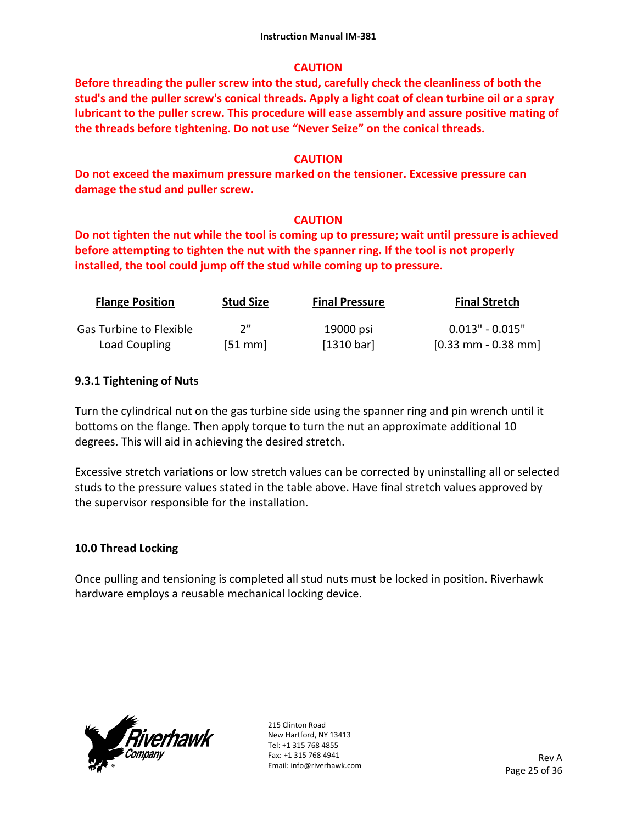## **CAUTION**

**Before threading the puller screw into the stud, carefully check the cleanliness of both the stud's and the puller screw's conical threads. Apply a light coat of clean turbine oil or a spray lubricant to the puller screw. This procedure will ease assembly and assure positive mating of the threads before tightening. Do not use "Never Seize" on the conical threads.** 

## **CAUTION**

**Do not exceed the maximum pressure marked on the tensioner. Excessive pressure can damage the stud and puller screw.** 

## **CAUTION**

**Do not tighten the nut while the tool is coming up to pressure; wait until pressure is achieved before attempting to tighten the nut with the spanner ring. If the tool is not properly installed, the tool could jump off the stud while coming up to pressure.** 

| <b>Flange Position</b>  | <b>Stud Size</b> | <b>Final Pressure</b> | <b>Final Stretch</b> |
|-------------------------|------------------|-----------------------|----------------------|
| Gas Turbine to Flexible | 2"               | 19000 psi             | $0.013" - 0.015"$    |
| Load Coupling           | $[51$ mm         | [1310 bar]            | $[0.33$ mm - 0.38 mm |

## **9.3.1 Tightening of Nuts**

Turn the cylindrical nut on the gas turbine side using the spanner ring and pin wrench until it bottoms on the flange. Then apply torque to turn the nut an approximate additional 10 degrees. This will aid in achieving the desired stretch.

Excessive stretch variations or low stretch values can be corrected by uninstalling all or selected studs to the pressure values stated in the table above. Have final stretch values approved by the supervisor responsible for the installation.

## **10.0 Thread Locking**

Once pulling and tensioning is completed all stud nuts must be locked in position. Riverhawk hardware employs a reusable mechanical locking device.

![](_page_24_Picture_13.jpeg)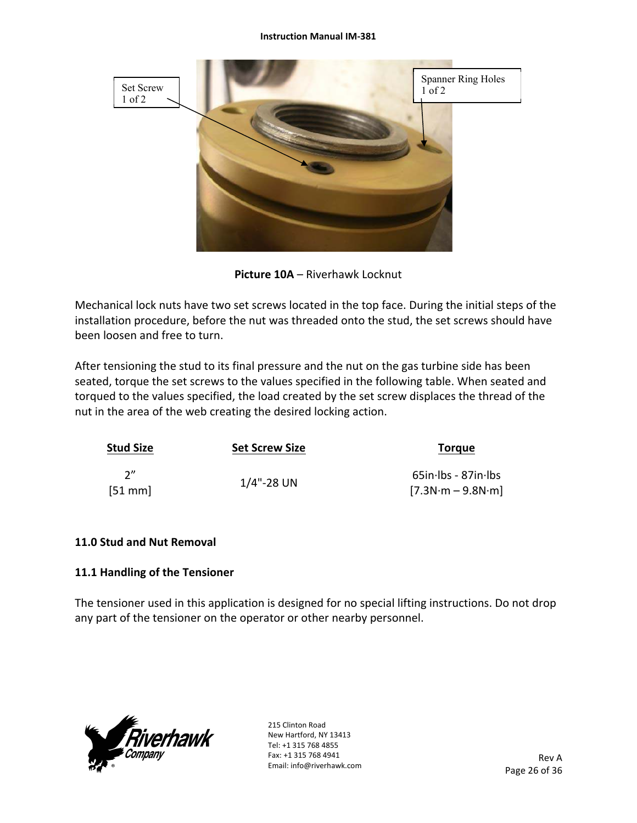![](_page_25_Picture_1.jpeg)

**Picture 10A** – Riverhawk Locknut

Mechanical lock nuts have two set screws located in the top face. During the initial steps of the installation procedure, before the nut was threaded onto the stud, the set screws should have been loosen and free to turn.

After tensioning the stud to its final pressure and the nut on the gas turbine side has been seated, torque the set screws to the values specified in the following table. When seated and torqued to the values specified, the load created by the set screw displaces the thread of the nut in the area of the web creating the desired locking action.

| <b>Stud Size</b> | <b>Set Screw Size</b> | <b>Torque</b>                                 |
|------------------|-----------------------|-----------------------------------------------|
| 2''<br>$[51$ mm  | $1/4$ "-28 UN         | $65$ in·lbs - 87in·lbs<br>$[7.3N·m - 9.8N·m]$ |

## **11.0 Stud and Nut Removal**

## **11.1 Handling of the Tensioner**

The tensioner used in this application is designed for no special lifting instructions. Do not drop any part of the tensioner on the operator or other nearby personnel.

![](_page_25_Picture_9.jpeg)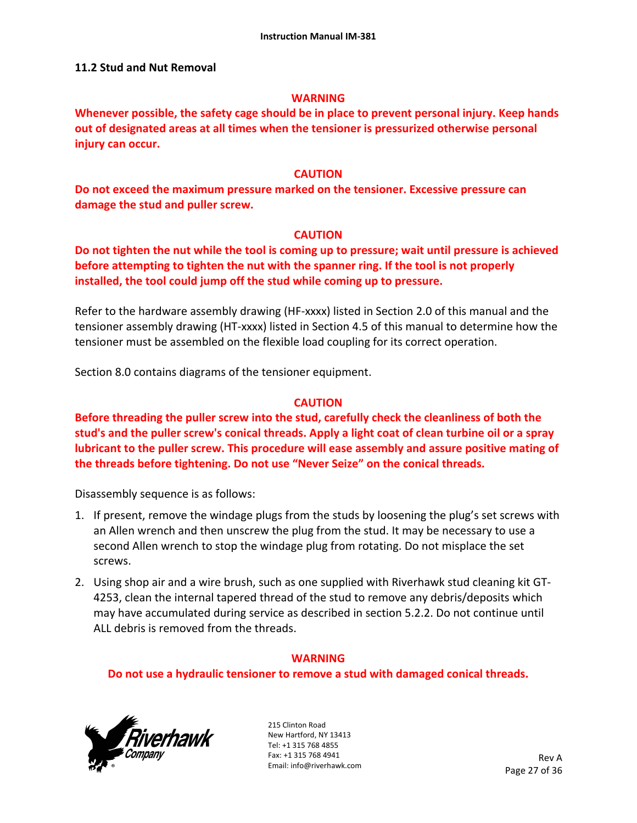## **11.2 Stud and Nut Removal**

#### **WARNING**

**Whenever possible, the safety cage should be in place to prevent personal injury. Keep hands out of designated areas at all times when the tensioner is pressurized otherwise personal injury can occur.** 

#### **CAUTION**

**Do not exceed the maximum pressure marked on the tensioner. Excessive pressure can damage the stud and puller screw.** 

#### **CAUTION**

**Do not tighten the nut while the tool is coming up to pressure; wait until pressure is achieved before attempting to tighten the nut with the spanner ring. If the tool is not properly installed, the tool could jump off the stud while coming up to pressure.** 

Refer to the hardware assembly drawing (HF-xxxx) listed in Section 2.0 of this manual and the tensioner assembly drawing (HT‐xxxx) listed in Section 4.5 of this manual to determine how the tensioner must be assembled on the flexible load coupling for its correct operation.

Section 8.0 contains diagrams of the tensioner equipment.

#### **CAUTION**

**Before threading the puller screw into the stud, carefully check the cleanliness of both the stud's and the puller screw's conical threads. Apply a light coat of clean turbine oil or a spray lubricant to the puller screw. This procedure will ease assembly and assure positive mating of the threads before tightening. Do not use "Never Seize" on the conical threads.** 

Disassembly sequence is as follows:

- 1. If present, remove the windage plugs from the studs by loosening the plug's set screws with an Allen wrench and then unscrew the plug from the stud. It may be necessary to use a second Allen wrench to stop the windage plug from rotating. Do not misplace the set screws.
- 2. Using shop air and a wire brush, such as one supplied with Riverhawk stud cleaning kit GT‐ 4253, clean the internal tapered thread of the stud to remove any debris/deposits which may have accumulated during service as described in section 5.2.2. Do not continue until ALL debris is removed from the threads.

## **WARNING**

#### **Do not use a hydraulic tensioner to remove a stud with damaged conical threads.**

![](_page_26_Picture_17.jpeg)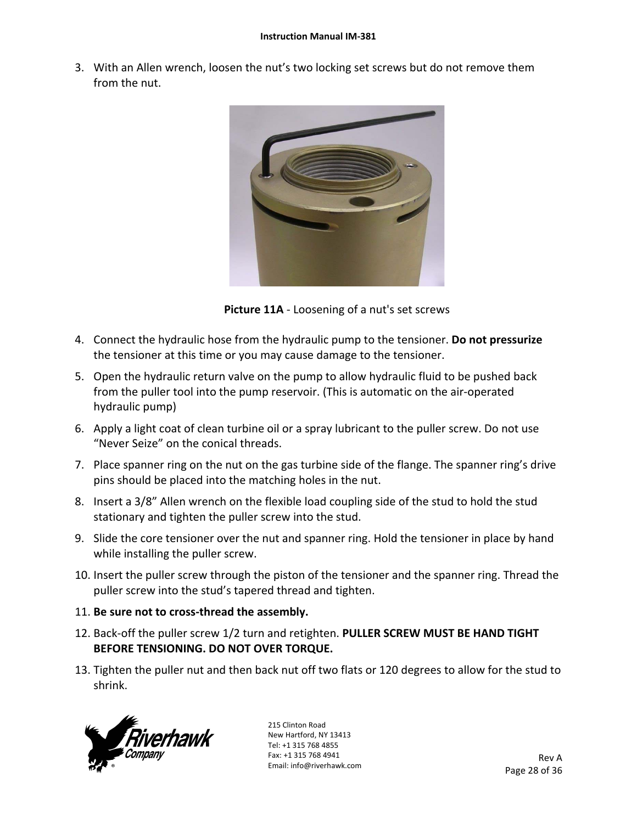3. With an Allen wrench, loosen the nut's two locking set screws but do not remove them from the nut.

![](_page_27_Picture_2.jpeg)

**Picture 11A** ‐ Loosening of a nut's set screws

- 4. Connect the hydraulic hose from the hydraulic pump to the tensioner. **Do not pressurize** the tensioner at this time or you may cause damage to the tensioner.
- 5. Open the hydraulic return valve on the pump to allow hydraulic fluid to be pushed back from the puller tool into the pump reservoir. (This is automatic on the air‐operated hydraulic pump)
- 6. Apply a light coat of clean turbine oil or a spray lubricant to the puller screw. Do not use "Never Seize" on the conical threads.
- 7. Place spanner ring on the nut on the gas turbine side of the flange. The spanner ring's drive pins should be placed into the matching holes in the nut.
- 8. Insert a 3/8" Allen wrench on the flexible load coupling side of the stud to hold the stud stationary and tighten the puller screw into the stud.
- 9. Slide the core tensioner over the nut and spanner ring. Hold the tensioner in place by hand while installing the puller screw.
- 10. Insert the puller screw through the piston of the tensioner and the spanner ring. Thread the puller screw into the stud's tapered thread and tighten.
- 11. **Be sure not to cross‐thread the assembly.**
- 12. Back‐off the puller screw 1/2 turn and retighten. **PULLER SCREW MUST BE HAND TIGHT BEFORE TENSIONING. DO NOT OVER TORQUE.**
- 13. Tighten the puller nut and then back nut off two flats or 120 degrees to allow for the stud to shrink.

![](_page_27_Picture_14.jpeg)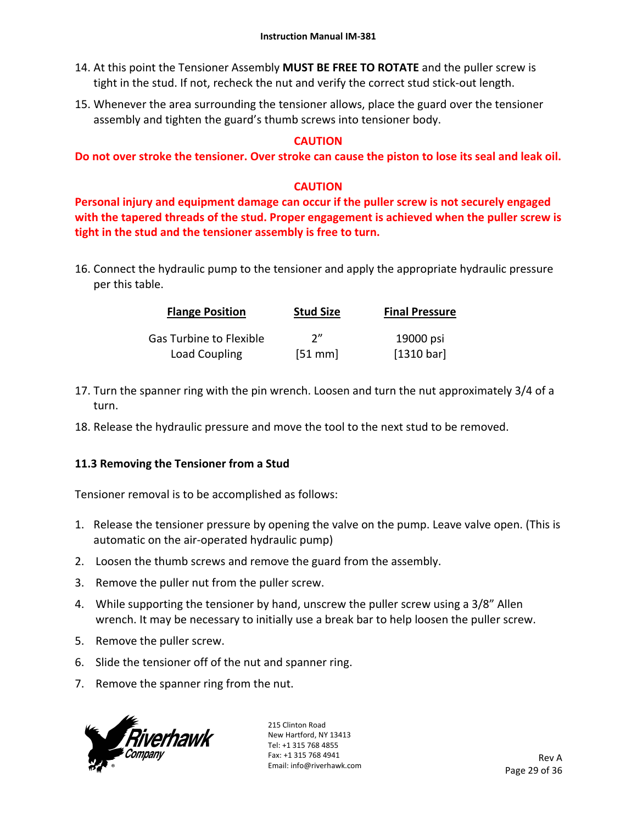- 14. At this point the Tensioner Assembly **MUST BE FREE TO ROTATE** and the puller screw is tight in the stud. If not, recheck the nut and verify the correct stud stick‐out length.
- 15. Whenever the area surrounding the tensioner allows, place the guard over the tensioner assembly and tighten the guard's thumb screws into tensioner body.

## **CAUTION**

**Do not over stroke the tensioner. Over stroke can cause the piston to lose its seal and leak oil.** 

## **CAUTION**

**Personal injury and equipment damage can occur if the puller screw is not securely engaged with the tapered threads of the stud. Proper engagement is achieved when the puller screw is tight in the stud and the tensioner assembly is free to turn.** 

16. Connect the hydraulic pump to the tensioner and apply the appropriate hydraulic pressure per this table.

| <b>Flange Position</b>  | <b>Stud Size</b> | <b>Final Pressure</b> |
|-------------------------|------------------|-----------------------|
| Gas Turbine to Flexible | 2''              | 19000 psi             |
| Load Coupling           | [51 mm]          | [1310 bar]            |

- 17. Turn the spanner ring with the pin wrench. Loosen and turn the nut approximately 3/4 of a turn.
- 18. Release the hydraulic pressure and move the tool to the next stud to be removed.

## **11.3 Removing the Tensioner from a Stud**

Tensioner removal is to be accomplished as follows:

- 1. Release the tensioner pressure by opening the valve on the pump. Leave valve open. (This is automatic on the air‐operated hydraulic pump)
- 2. Loosen the thumb screws and remove the guard from the assembly.
- 3. Remove the puller nut from the puller screw.
- 4. While supporting the tensioner by hand, unscrew the puller screw using a 3/8" Allen wrench. It may be necessary to initially use a break bar to help loosen the puller screw.
- 5. Remove the puller screw.
- 6. Slide the tensioner off of the nut and spanner ring.
- 7. Remove the spanner ring from the nut.

![](_page_28_Picture_20.jpeg)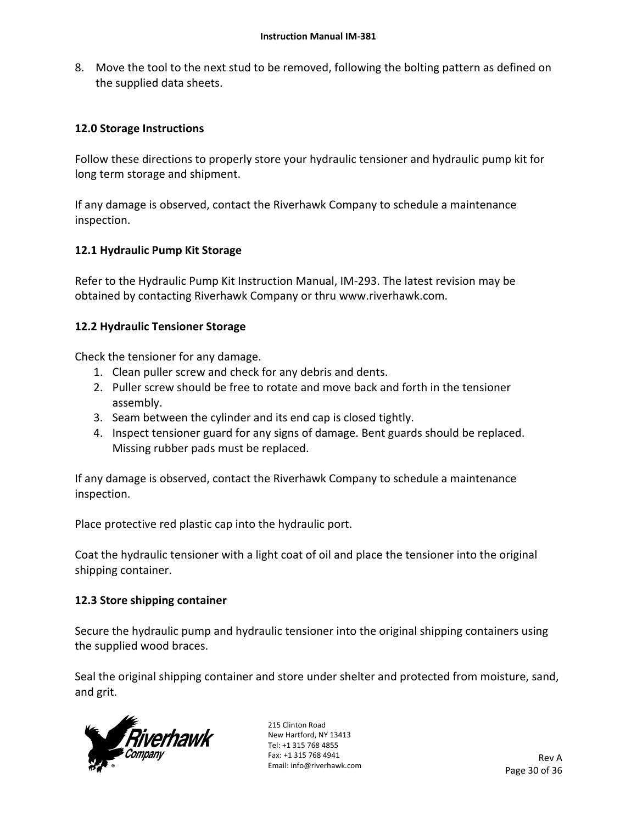8. Move the tool to the next stud to be removed, following the bolting pattern as defined on the supplied data sheets.

## **12.0 Storage Instructions**

Follow these directions to properly store your hydraulic tensioner and hydraulic pump kit for long term storage and shipment.

If any damage is observed, contact the Riverhawk Company to schedule a maintenance inspection.

## **12.1 Hydraulic Pump Kit Storage**

Refer to the Hydraulic Pump Kit Instruction Manual, IM‐293. The latest revision may be obtained by contacting Riverhawk Company or thru www.riverhawk.com.

## **12.2 Hydraulic Tensioner Storage**

Check the tensioner for any damage.

- 1. Clean puller screw and check for any debris and dents.
- 2. Puller screw should be free to rotate and move back and forth in the tensioner assembly.
- 3. Seam between the cylinder and its end cap is closed tightly.
- 4. Inspect tensioner guard for any signs of damage. Bent guards should be replaced. Missing rubber pads must be replaced.

If any damage is observed, contact the Riverhawk Company to schedule a maintenance inspection.

Place protective red plastic cap into the hydraulic port.

Coat the hydraulic tensioner with a light coat of oil and place the tensioner into the original shipping container.

## **12.3 Store shipping container**

Secure the hydraulic pump and hydraulic tensioner into the original shipping containers using the supplied wood braces.

Seal the original shipping container and store under shelter and protected from moisture, sand, and grit.

![](_page_29_Picture_19.jpeg)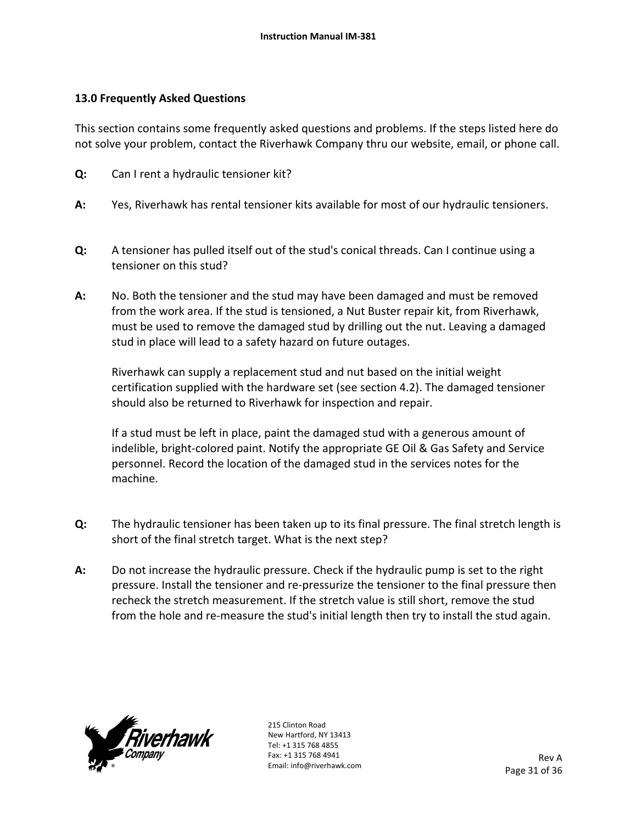## **13.0 Frequently Asked Questions**

This section contains some frequently asked questions and problems. If the steps listed here do not solve your problem, contact the Riverhawk Company thru our website, email, or phone call.

- **Q:**  Can I rent a hydraulic tensioner kit?
- **A:**  Yes, Riverhawk has rental tensioner kits available for most of our hydraulic tensioners.
- **Q:**  A tensioner has pulled itself out of the stud's conical threads. Can I continue using a tensioner on this stud?
- **A:**  No. Both the tensioner and the stud may have been damaged and must be removed from the work area. If the stud is tensioned, a Nut Buster repair kit, from Riverhawk, must be used to remove the damaged stud by drilling out the nut. Leaving a damaged stud in place will lead to a safety hazard on future outages.

Riverhawk can supply a replacement stud and nut based on the initial weight certification supplied with the hardware set (see section 4.2). The damaged tensioner should also be returned to Riverhawk for inspection and repair.

If a stud must be left in place, paint the damaged stud with a generous amount of indelible, bright‐colored paint. Notify the appropriate GE Oil & Gas Safety and Service personnel. Record the location of the damaged stud in the services notes for the machine.

- **Q:**  The hydraulic tensioner has been taken up to its final pressure. The final stretch length is short of the final stretch target. What is the next step?
- **A:**  Do not increase the hydraulic pressure. Check if the hydraulic pump is set to the right pressure. Install the tensioner and re‐pressurize the tensioner to the final pressure then recheck the stretch measurement. If the stretch value is still short, remove the stud from the hole and re-measure the stud's initial length then try to install the stud again.

![](_page_30_Picture_11.jpeg)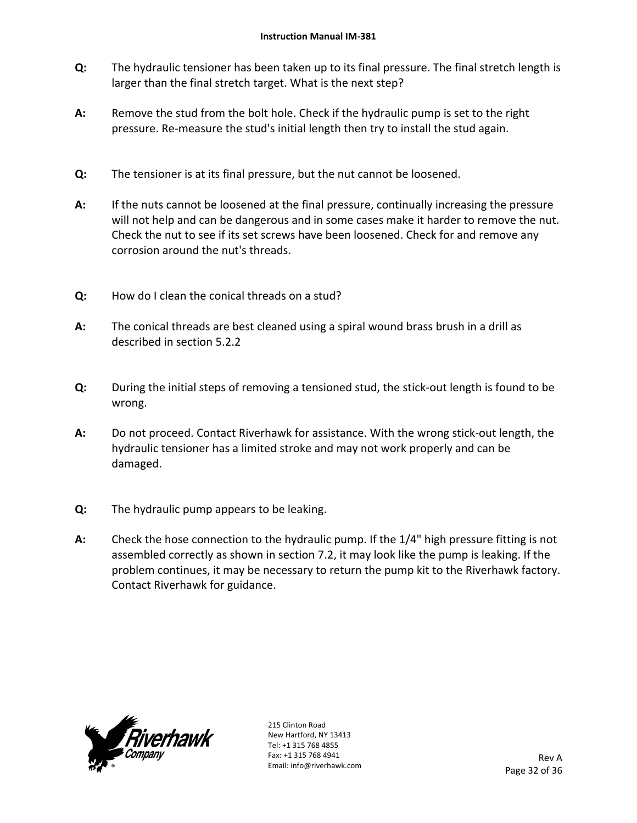- **Q:**  The hydraulic tensioner has been taken up to its final pressure. The final stretch length is larger than the final stretch target. What is the next step?
- **A:**  Remove the stud from the bolt hole. Check if the hydraulic pump is set to the right pressure. Re-measure the stud's initial length then try to install the stud again.
- **Q:**  The tensioner is at its final pressure, but the nut cannot be loosened.
- **A:**  If the nuts cannot be loosened at the final pressure, continually increasing the pressure will not help and can be dangerous and in some cases make it harder to remove the nut. Check the nut to see if its set screws have been loosened. Check for and remove any corrosion around the nut's threads.
- **Q:**  How do I clean the conical threads on a stud?
- **A:**  The conical threads are best cleaned using a spiral wound brass brush in a drill as described in section 5.2.2
- **Q:**  During the initial steps of removing a tensioned stud, the stick-out length is found to be wrong.
- **A:**  Do not proceed. Contact Riverhawk for assistance. With the wrong stick‐out length, the hydraulic tensioner has a limited stroke and may not work properly and can be damaged.
- **Q:**  The hydraulic pump appears to be leaking.
- **A:**  Check the hose connection to the hydraulic pump. If the 1/4" high pressure fitting is not assembled correctly as shown in section 7.2, it may look like the pump is leaking. If the problem continues, it may be necessary to return the pump kit to the Riverhawk factory. Contact Riverhawk for guidance.

![](_page_31_Picture_11.jpeg)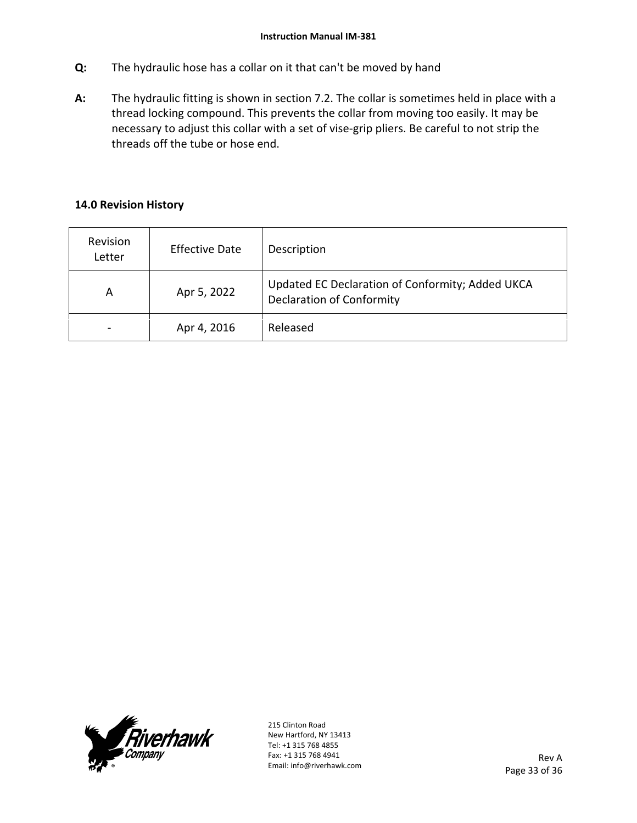- **Q:**  The hydraulic hose has a collar on it that can't be moved by hand
- **A:**  The hydraulic fitting is shown in section 7.2. The collar is sometimes held in place with a thread locking compound. This prevents the collar from moving too easily. It may be necessary to adjust this collar with a set of vise‐grip pliers. Be careful to not strip the threads off the tube or hose end.

## **14.0 Revision History**

| Revision<br>Letter | <b>Effective Date</b> | Description                                                                          |
|--------------------|-----------------------|--------------------------------------------------------------------------------------|
| A                  | Apr 5, 2022           | Updated EC Declaration of Conformity; Added UKCA<br><b>Declaration of Conformity</b> |
|                    | Apr 4, 2016           | Released                                                                             |

![](_page_32_Picture_5.jpeg)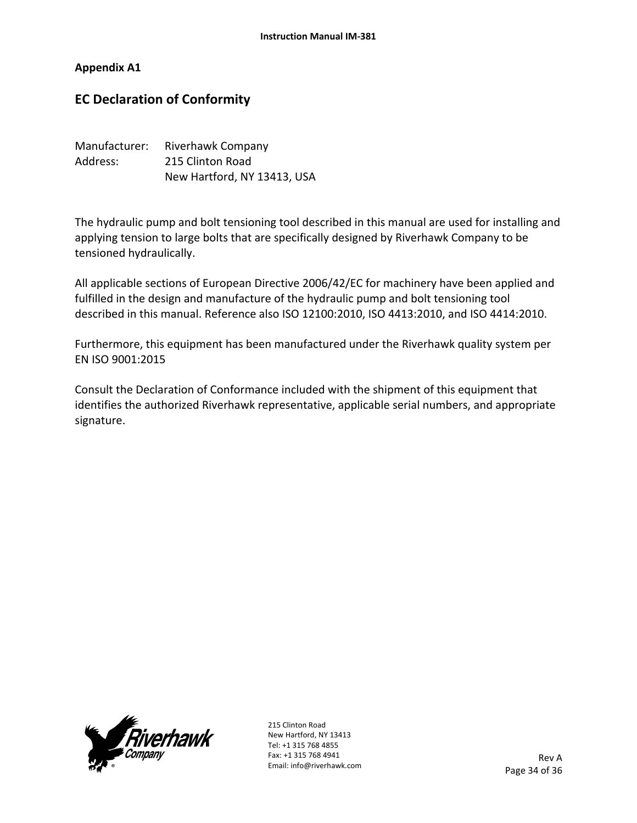#### **Appendix A1**

## **EC Declaration of Conformity**

| Manufacturer: | Riverhawk Company           |
|---------------|-----------------------------|
| Address:      | 215 Clinton Road            |
|               | New Hartford, NY 13413, USA |

The hydraulic pump and bolt tensioning tool described in this manual are used for installing and applying tension to large bolts that are specifically designed by Riverhawk Company to be tensioned hydraulically.

All applicable sections of European Directive 2006/42/EC for machinery have been applied and fulfilled in the design and manufacture of the hydraulic pump and bolt tensioning tool described in this manual. Reference also ISO 12100:2010, ISO 4413:2010, and ISO 4414:2010.

Furthermore, this equipment has been manufactured under the Riverhawk quality system per EN ISO 9001:2015

Consult the Declaration of Conformance included with the shipment of this equipment that identifies the authorized Riverhawk representative, applicable serial numbers, and appropriate signature.

![](_page_33_Picture_8.jpeg)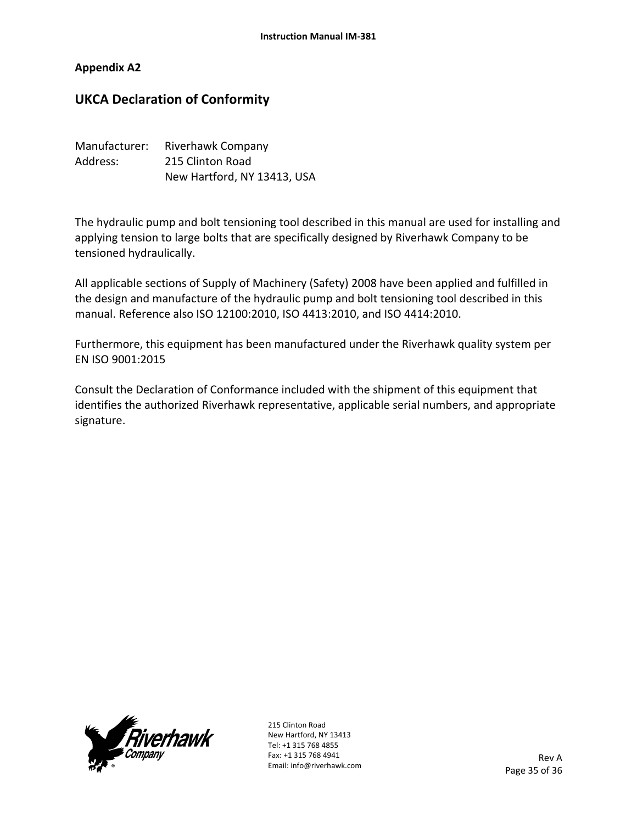#### **Appendix A2**

## **UKCA Declaration of Conformity**

| Manufacturer: | <b>Riverhawk Company</b>    |
|---------------|-----------------------------|
| Address:      | 215 Clinton Road            |
|               | New Hartford, NY 13413, USA |

The hydraulic pump and bolt tensioning tool described in this manual are used for installing and applying tension to large bolts that are specifically designed by Riverhawk Company to be tensioned hydraulically.

All applicable sections of Supply of Machinery (Safety) 2008 have been applied and fulfilled in the design and manufacture of the hydraulic pump and bolt tensioning tool described in this manual. Reference also ISO 12100:2010, ISO 4413:2010, and ISO 4414:2010.

Furthermore, this equipment has been manufactured under the Riverhawk quality system per EN ISO 9001:2015

Consult the Declaration of Conformance included with the shipment of this equipment that identifies the authorized Riverhawk representative, applicable serial numbers, and appropriate signature.

![](_page_34_Picture_8.jpeg)